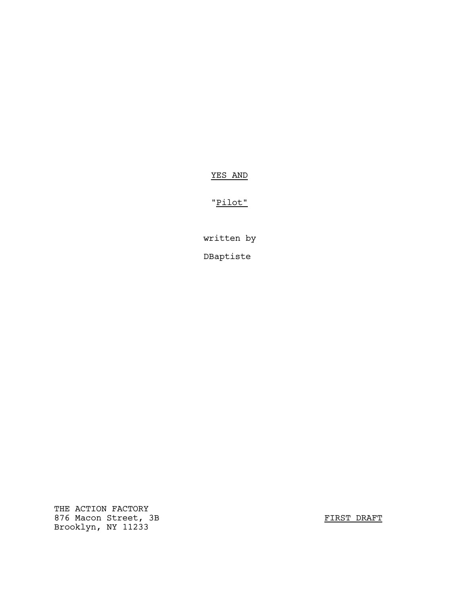# YES AND

# "Pilot"

written by DBaptiste

THE ACTION FACTORY 876 Macon Street, 3B FIRST DRAFT Brooklyn, NY 11233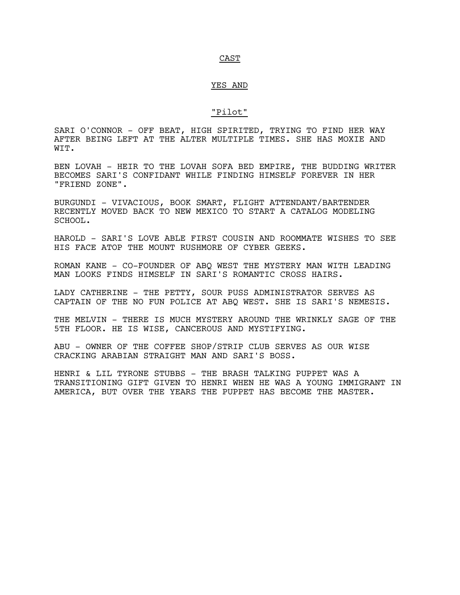#### CAST

### YES AND

## "Pilot"

SARI O'CONNOR - OFF BEAT, HIGH SPIRITED, TRYING TO FIND HER WAY AFTER BEING LEFT AT THE ALTER MULTIPLE TIMES. SHE HAS MOXIE AND WIT.

BEN LOVAH - HEIR TO THE LOVAH SOFA BED EMPIRE, THE BUDDING WRITER BECOMES SARI'S CONFIDANT WHILE FINDING HIMSELF FOREVER IN HER "FRIEND ZONE".

BURGUNDI - VIVACIOUS, BOOK SMART, FLIGHT ATTENDANT/BARTENDER RECENTLY MOVED BACK TO NEW MEXICO TO START A CATALOG MODELING SCHOOL.

HAROLD - SARI'S LOVE ABLE FIRST COUSIN AND ROOMMATE WISHES TO SEE HIS FACE ATOP THE MOUNT RUSHMORE OF CYBER GEEKS.

ROMAN KANE - CO-FOUNDER OF ABQ WEST THE MYSTERY MAN WITH LEADING MAN LOOKS FINDS HIMSELF IN SARI'S ROMANTIC CROSS HAIRS.

LADY CATHERINE - THE PETTY, SOUR PUSS ADMINISTRATOR SERVES AS CAPTAIN OF THE NO FUN POLICE AT ABQ WEST. SHE IS SARI'S NEMESIS.

THE MELVIN - THERE IS MUCH MYSTERY AROUND THE WRINKLY SAGE OF THE 5TH FLOOR. HE IS WISE, CANCEROUS AND MYSTIFYING.

ABU - OWNER OF THE COFFEE SHOP/STRIP CLUB SERVES AS OUR WISE CRACKING ARABIAN STRAIGHT MAN AND SARI'S BOSS.

HENRI & LIL TYRONE STUBBS - THE BRASH TALKING PUPPET WAS A TRANSITIONING GIFT GIVEN TO HENRI WHEN HE WAS A YOUNG IMMIGRANT IN AMERICA, BUT OVER THE YEARS THE PUPPET HAS BECOME THE MASTER.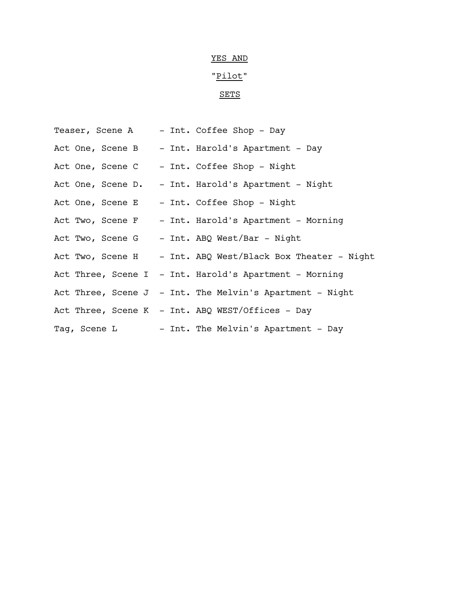# YES AND

# "Pilot"

# SETS

| Teaser, Scene A | - Int. Coffee Shop - Day                                    |
|-----------------|-------------------------------------------------------------|
|                 | Act One, Scene B - Int. Harold's Apartment - Day            |
|                 | Act One, Scene C - Int. Coffee Shop - Night                 |
|                 | Act One, Scene D. - Int. Harold's Apartment - Night         |
|                 | Act One, Scene E - Int. Coffee Shop - Night                 |
|                 | Act Two, Scene F - Int. Harold's Apartment - Morning        |
|                 | Act Two, Scene G ) - Int. ABQ West/Bar - Night              |
|                 | Act Two, Scene H - Int. ABQ West/Black Box Theater - Night  |
|                 | Act Three, Scene I - Int. Harold's Apartment - Morning      |
|                 | Act Three, Scene $J - Int$ . The Melvin's Apartment - Night |
|                 | Act Three, Scene K - Int. ABQ WEST/Offices - Day            |
|                 | Tag, Scene L - Int. The Melvin's Apartment - Day            |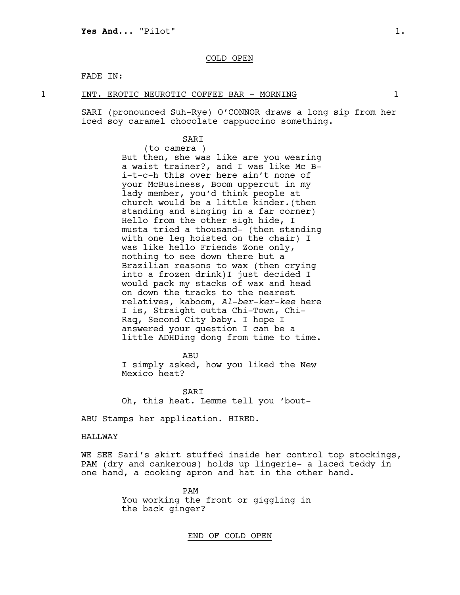# COLD OPEN

# FADE IN:

#### 1 INT. EROTIC NEUROTIC COFFEE BAR - MORNING 1

SARI (pronounced Suh-Rye) O'CONNOR draws a long sip from her iced soy caramel chocolate cappuccino something.

## SARI

(to camera ) But then, she was like are you wearing a waist trainer?, and I was like Mc Bi-t-c-h this over here ain't none of your McBusiness, Boom uppercut in my lady member, you'd think people at church would be a little kinder.(then standing and singing in a far corner) Hello from the other sigh hide, I musta tried a thousand- (then standing with one leg hoisted on the chair) I was like hello Friends Zone only, nothing to see down there but a Brazilian reasons to wax (then crying into a frozen drink)I just decided I would pack my stacks of wax and head on down the tracks to the nearest relatives, kaboom, *Al-ber-ker-kee* here I is, Straight outta Chi-Town, Chi-Raq, Second City baby. I hope I answered your question I can be a little ADHDing dong from time to time.

ABU

I simply asked, how you liked the New Mexico heat?

SARI Oh, this heat. Lemme tell you 'bout-

ABU Stamps her application. HIRED.

### HALLWAY

WE SEE Sari's skirt stuffed inside her control top stockings, PAM (dry and cankerous) holds up lingerie– a laced teddy in one hand, a cooking apron and hat in the other hand.

> PAM You working the front or giggling in the back ginger?

> > END OF COLD OPEN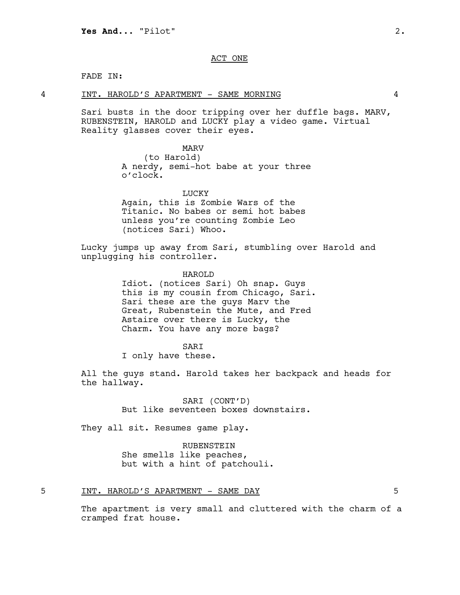# ACT ONE

### FADE IN:

#### 4 INT. HAROLD'S APARTMENT - SAME MORNING 4

Sari busts in the door tripping over her duffle bags. MARV, RUBENSTEIN, HAROLD and LUCKY play a video game. Virtual Reality glasses cover their eyes.

#### MARV

(to Harold) A nerdy, semi-hot babe at your three o'clock.

LUCKY Again, this is Zombie Wars of the Titanic. No babes or semi hot babes unless you're counting Zombie Leo (notices Sari) Whoo.

Lucky jumps up away from Sari, stumbling over Harold and unplugging his controller.

> HAROLD Idiot. (notices Sari) Oh snap. Guys this is my cousin from Chicago, Sari. Sari these are the guys Marv the Great, Rubenstein the Mute, and Fred Astaire over there is Lucky, the Charm. You have any more bags?

### SARI

I only have these.

All the guys stand. Harold takes her backpack and heads for the hallway.

> SARI (CONT'D) But like seventeen boxes downstairs.

They all sit. Resumes game play.

RUBENSTEIN She smells like peaches, but with a hint of patchouli.

## 5 INT. HAROLD'S APARTMENT - SAME DAY 5

The apartment is very small and cluttered with the charm of a cramped frat house.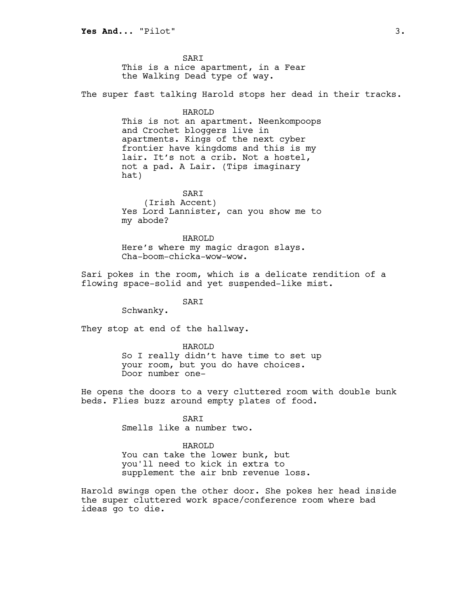**SART** This is a nice apartment, in a Fear the Walking Dead type of way.

The super fast talking Harold stops her dead in their tracks.

#### HAROLD

This is not an apartment. Neenkompoops and Crochet bloggers live in apartments. Kings of the next cyber frontier have kingdoms and this is my lair. It's not a crib. Not a hostel, not a pad. A Lair. (Tips imaginary hat)

# SARI

(Irish Accent) Yes Lord Lannister, can you show me to my abode?

HAROLD Here's where my magic dragon slays. Cha-boom-chicka-wow-wow.

Sari pokes in the room, which is a delicate rendition of a flowing space–solid and yet suspended-like mist.

# SARI

Schwanky.

They stop at end of the hallway.

#### HAROLD

So I really didn't have time to set up your room, but you do have choices. Door number one-

He opens the doors to a very cluttered room with double bunk beds. Flies buzz around empty plates of food.

#### SARI

Smells like a number two.

#### HAROLD

You can take the lower bunk, but you'll need to kick in extra to supplement the air bnb revenue loss.

Harold swings open the other door. She pokes her head inside the super cluttered work space/conference room where bad ideas go to die.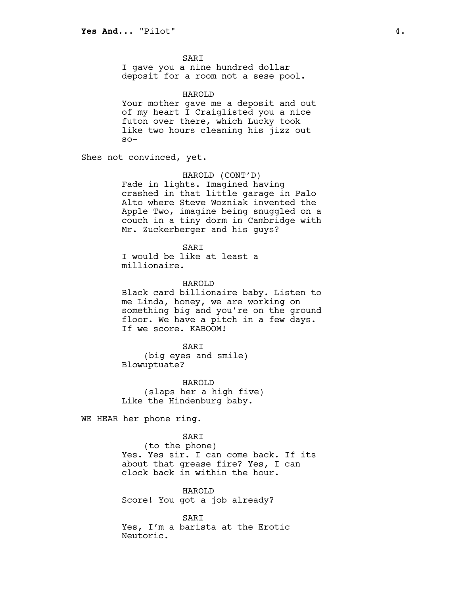SARI

I gave you a nine hundred dollar deposit for a room not a sese pool.

HAROLD

Your mother gave me a deposit and out of my heart I Craiglisted you a nice futon over there, which Lucky took like two hours cleaning his jizz out  $SO-$ 

Shes not convinced, yet.

# HAROLD (CONT'D)

Fade in lights. Imagined having crashed in that little garage in Palo Alto where Steve Wozniak invented the Apple Two, imagine being snuggled on a couch in a tiny dorm in Cambridge with Mr. Zuckerberger and his guys?

SARI

I would be like at least a millionaire.

HAROLD

Black card billionaire baby. Listen to me Linda, honey, we are working on something big and you're on the ground floor. We have a pitch in a few days. If we score. KABOOM!

SARI

(big eyes and smile) Blowuptuate?

HAROLD (slaps her a high five) Like the Hindenburg baby.

WE HEAR her phone ring.

### SARI

(to the phone) Yes. Yes sir. I can come back. If its about that grease fire? Yes, I can clock back in within the hour.

HAROLD Score! You got a job already?

**SART** Yes, I'm a barista at the Erotic Neutoric.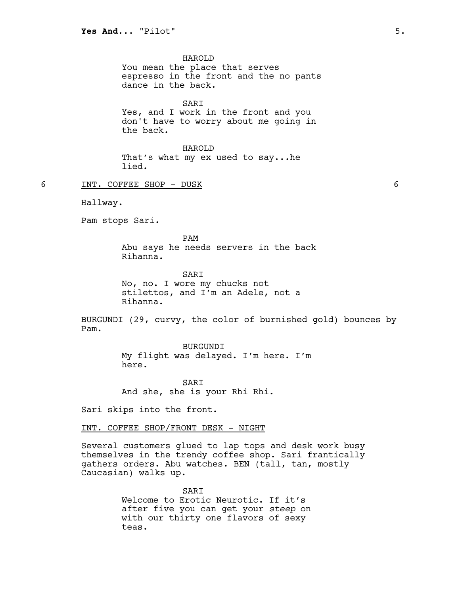HAROLD

You mean the place that serves espresso in the front and the no pants dance in the back.

SARI Yes, and I work in the front and you don't have to worry about me going in the back.

HAROLD That's what my ex used to say...he lied.

6 INT. COFFEE SHOP - DUSK 6

Hallway.

Pam stops Sari.

PAM Abu says he needs servers in the back Rihanna.

**SART** No, no. I wore my chucks not stilettos, and I'm an Adele, not a Rihanna.

BURGUNDI (29, curvy, the color of burnished gold) bounces by Pam.

> BURGUNDI My flight was delayed. I'm here. I'm here.

SARI And she, she is your Rhi Rhi.

Sari skips into the front.

INT. COFFEE SHOP/FRONT DESK - NIGHT

Several customers glued to lap tops and desk work busy themselves in the trendy coffee shop. Sari frantically gathers orders. Abu watches. BEN (tall, tan, mostly Caucasian) walks up.

> **SART** Welcome to Erotic Neurotic. If it's after five you can get your *steep* on with our thirty one flavors of sexy teas.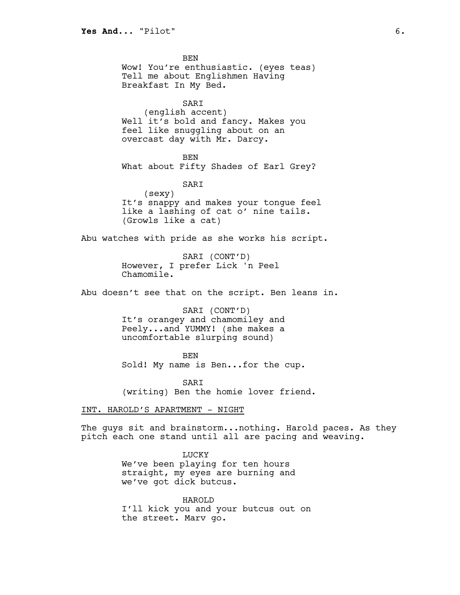BEN Wow! You're enthusiastic. (eyes teas) Tell me about Englishmen Having Breakfast In My Bed. SARI (english accent) Well it's bold and fancy. Makes you feel like snuggling about on an overcast day with Mr. Darcy. BEN What about Fifty Shades of Earl Grey?

SARI (sexy) It's snappy and makes your tongue feel like a lashing of cat o' nine tails. (Growls like a cat)

Abu watches with pride as she works his script.

SARI (CONT'D) However, I prefer Lick 'n Peel Chamomile.

Abu doesn't see that on the script. Ben leans in.

SARI (CONT'D) It's orangey and chamomiley and Peely...and YUMMY! (she makes a uncomfortable slurping sound)

BEN Sold! My name is Ben...for the cup.

**SART** (writing) Ben the homie lover friend.

INT. HAROLD'S APARTMENT - NIGHT

The guys sit and brainstorm...nothing. Harold paces. As they pitch each one stand until all are pacing and weaving.

> LUCKY We've been playing for ten hours straight, my eyes are burning and we've got dick butcus.

HAROLD I'll kick you and your butcus out on the street. Marv go.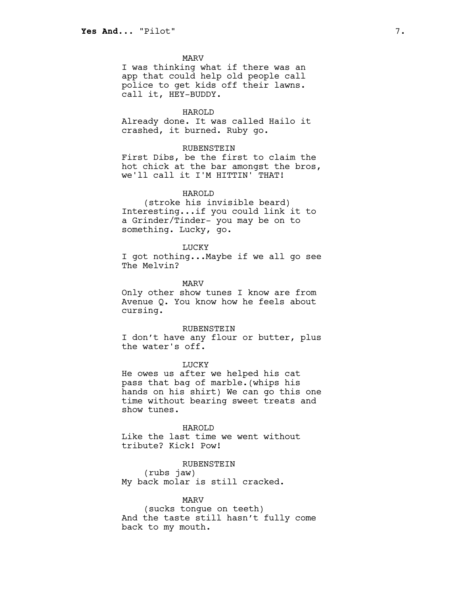MARV

I was thinking what if there was an app that could help old people call police to get kids off their lawns. call it, HEY-BUDDY.

#### HAROLD

Already done. It was called Hailo it crashed, it burned. Ruby go.

#### RUBENSTEIN

First Dibs, be the first to claim the hot chick at the bar amongst the bros, we'll call it I'M HITTIN' THAT!

## HAROLD

(stroke his invisible beard) Interesting...if you could link it to a Grinder/Tinder- you may be on to something. Lucky, go.

#### LUCKY

I got nothing...Maybe if we all go see The Melvin?

MARV

Only other show tunes I know are from Avenue Q. You know how he feels about cursing.

#### RUBENSTEIN

I don't have any flour or butter, plus the water's off.

LUCKY

He owes us after we helped his cat pass that bag of marble.(whips his hands on his shirt) We can go this one time without bearing sweet treats and show tunes.

HAROLD Like the last time we went without tribute? Kick! Pow!

RUBENSTEIN (rubs jaw) My back molar is still cracked.

# MARV

(sucks tongue on teeth) And the taste still hasn't fully come back to my mouth.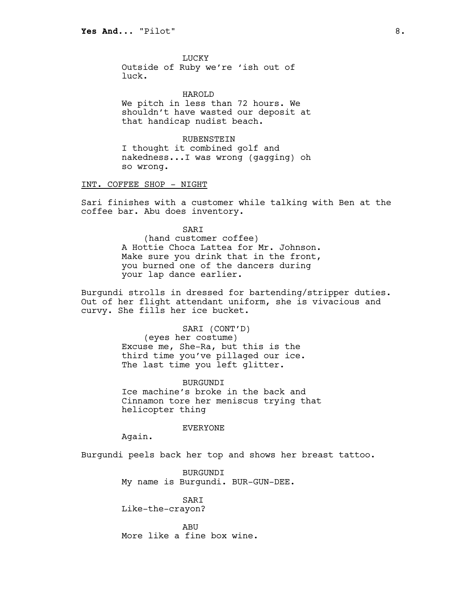**LUCKY** Outside of Ruby we're 'ish out of luck.

HAROLD We pitch in less than 72 hours. We shouldn't have wasted our deposit at that handicap nudist beach.

RUBENSTEIN I thought it combined golf and nakedness...I was wrong (gagging) oh so wrong.

INT. COFFEE SHOP - NIGHT

Sari finishes with a customer while talking with Ben at the coffee bar. Abu does inventory.

> **SART** (hand customer coffee) A Hottie Choca Lattea for Mr. Johnson. Make sure you drink that in the front, you burned one of the dancers during your lap dance earlier.

Burgundi strolls in dressed for bartending/stripper duties. Out of her flight attendant uniform, she is vivacious and curvy. She fills her ice bucket.

> SARI (CONT'D) (eyes her costume) Excuse me, She-Ra, but this is the third time you've pillaged our ice. The last time you left glitter.

**BURGUNDI** Ice machine's broke in the back and Cinnamon tore her meniscus trying that helicopter thing

# EVERYONE

Again.

Burgundi peels back her top and shows her breast tattoo.

BURGUNDI My name is Burgundi. BUR-GUN-DEE.

SARI Like-the-crayon?

ABU More like a fine box wine.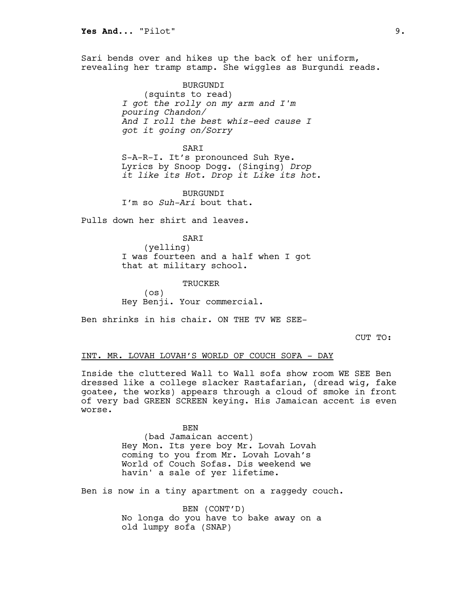Sari bends over and hikes up the back of her uniform, revealing her tramp stamp. She wiggles as Burgundi reads.

> BURGUNDI (squints to read) *I got the rolly on my arm and I'm pouring Chandon/ And I roll the best whiz-eed cause I got it going on/Sorry*

> > SARI

S-A-R-I. It's pronounced Suh Rye. Lyrics by Snoop Dogg. (Singing) *Drop it like its Hot. Drop it Like its hot*.

BURGUNDI I'm so *Suh-Ari* bout that.

Pulls down her shirt and leaves.

SARI

(yelling) I was fourteen and a half when I got that at military school.

TRUCKER

(os) Hey Benji. Your commercial.

Ben shrinks in his chair. ON THE TV WE SEE-

CUT TO:

# INT. MR. LOVAH LOVAH'S WORLD OF COUCH SOFA - DAY

Inside the cluttered Wall to Wall sofa show room WE SEE Ben dressed like a college slacker Rastafarian, (dread wig, fake goatee, the works) appears through a cloud of smoke in front of very bad GREEN SCREEN keying. His Jamaican accent is even worse.

> BEN (bad Jamaican accent) Hey Mon. Its yere boy Mr. Lovah Lovah coming to you from Mr. Lovah Lovah's World of Couch Sofas. Dis weekend we havin' a sale of yer lifetime.

Ben is now in a tiny apartment on a raggedy couch.

BEN (CONT'D) No longa do you have to bake away on a old lumpy sofa (SNAP)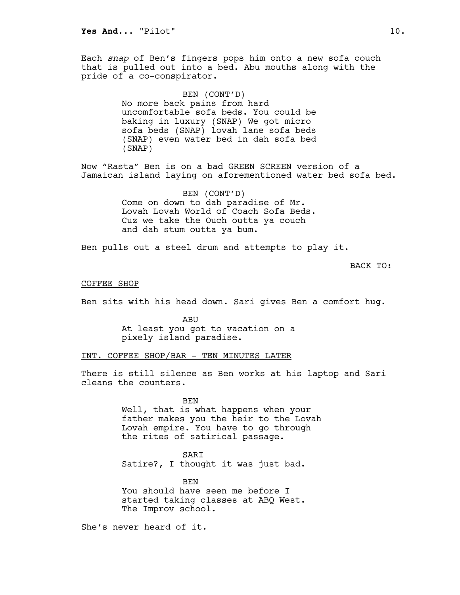Each *snap* of Ben's fingers pops him onto a new sofa couch that is pulled out into a bed. Abu mouths along with the pride of a co-conspirator.

> BEN (CONT'D) No more back pains from hard uncomfortable sofa beds. You could be baking in luxury (SNAP) We got micro sofa beds (SNAP) lovah lane sofa beds (SNAP) even water bed in dah sofa bed (SNAP)

Now "Rasta" Ben is on a bad GREEN SCREEN version of a Jamaican island laying on aforementioned water bed sofa bed.

> BEN (CONT'D) Come on down to dah paradise of Mr. Lovah Lovah World of Coach Sofa Beds. Cuz we take the Ouch outta ya couch and dah stum outta ya bum.

Ben pulls out a steel drum and attempts to play it.

BACK TO:

### COFFEE SHOP

Ben sits with his head down. Sari gives Ben a comfort hug.

ABU At least you got to vacation on a pixely island paradise.

# INT. COFFEE SHOP/BAR - TEN MINUTES LATER

There is still silence as Ben works at his laptop and Sari cleans the counters.

> BEN Well, that is what happens when your father makes you the heir to the Lovah Lovah empire. You have to go through the rites of satirical passage.

**SART** Satire?, I thought it was just bad.

BEN You should have seen me before I started taking classes at ABQ West. The Improv school.

She's never heard of it.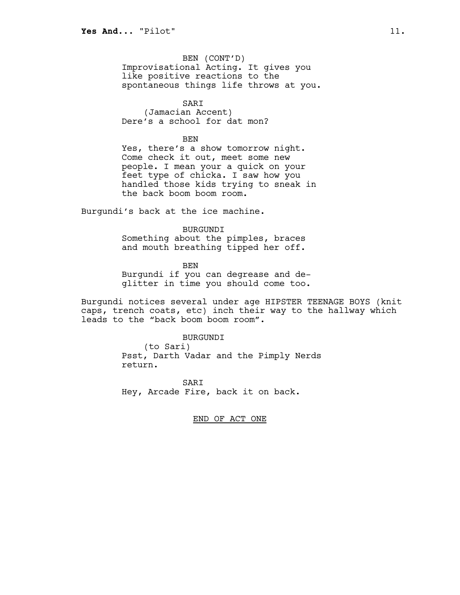BEN (CONT'D) Improvisational Acting. It gives you like positive reactions to the spontaneous things life throws at you.

SARI (Jamacian Accent) Dere's a school for dat mon?

BEN

Yes, there's a show tomorrow night. Come check it out, meet some new people. I mean your a quick on your feet type of chicka. I saw how you handled those kids trying to sneak in the back boom boom room.

Burgundi's back at the ice machine.

BURGUNDI Something about the pimples, braces and mouth breathing tipped her off.

BEN Burgundi if you can degrease and deglitter in time you should come too.

Burgundi notices several under age HIPSTER TEENAGE BOYS (knit caps, trench coats, etc) inch their way to the hallway which leads to the "back boom boom room".

> BURGUNDI (to Sari) Psst, Darth Vadar and the Pimply Nerds return.

**SART** Hey, Arcade Fire, back it on back.

END OF ACT ONE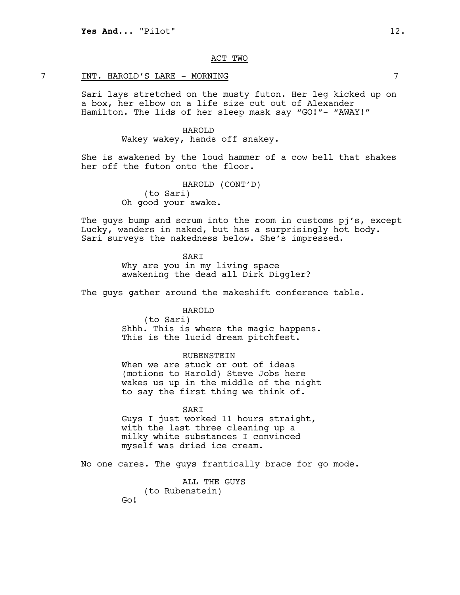# ACT TWO

# 7 INT. HAROLD'S LARE - MORNING 7

Sari lays stretched on the musty futon. Her leg kicked up on a box, her elbow on a life size cut out of Alexander Hamilton. The lids of her sleep mask say "GO!"- "AWAY!"

#### HAROLD

Wakey wakey, hands off snakey.

She is awakened by the loud hammer of a cow bell that shakes her off the futon onto the floor.

> HAROLD (CONT'D) (to Sari) Oh good your awake.

The guys bump and scrum into the room in customs pj's, except Lucky, wanders in naked, but has a surprisingly hot body. Sari surveys the nakedness below. She's impressed.

> SARI Why are you in my living space awakening the dead all Dirk Diggler?

The guys gather around the makeshift conference table.

## HAROLD

(to Sari) Shhh. This is where the magic happens. This is the lucid dream pitchfest.

# RUBENSTEIN

When we are stuck or out of ideas (motions to Harold) Steve Jobs here wakes us up in the middle of the night to say the first thing we think of.

#### SARI

Guys I just worked 11 hours straight, with the last three cleaning up a milky white substances I convinced myself was dried ice cream.

No one cares. The guys frantically brace for go mode.

ALL THE GUYS (to Rubenstein) Go!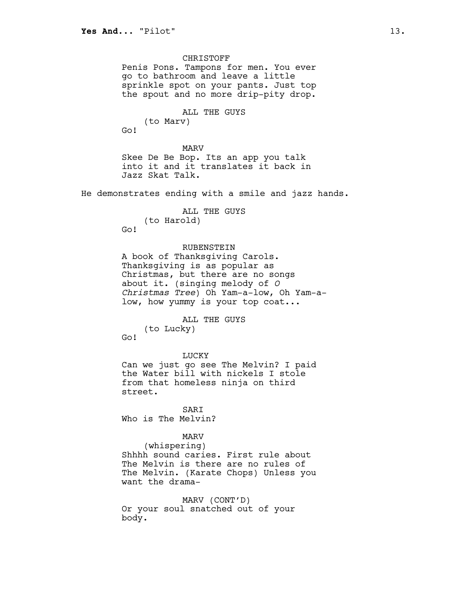CHRISTOFF Penis Pons. Tampons for men. You ever go to bathroom and leave a little sprinkle spot on your pants. Just top the spout and no more drip-pity drop. ALL THE GUYS (to Marv) Go! MARV Skee De Be Bop. Its an app you talk into it and it translates it back in Jazz Skat Talk. He demonstrates ending with a smile and jazz hands. ALL THE GUYS (to Harold) Go! RUBENSTEIN A book of Thanksgiving Carols. Thanksgiving is as popular as Christmas, but there are no songs about it. (singing melody of *O Christmas Tree*) Oh Yam-a-low, Oh Yam-alow, how yummy is your top coat... ALL THE GUYS (to Lucky) Go! LUCKY Can we just go see The Melvin? I paid the Water bill with nickels I stole from that homeless ninja on third street. SARI Who is The Melvin? MARV (whispering) Shhhh sound caries. First rule about The Melvin is there are no rules of The Melvin. (Karate Chops) Unless you want the drama-MARV (CONT'D) Or your soul snatched out of your body.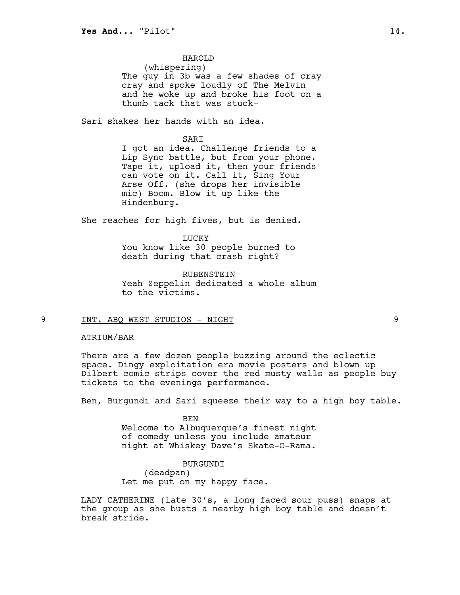# HAROLD

(whispering) The guy in 3b was a few shades of cray cray and spoke loudly of The Melvin and he woke up and broke his foot on a thumb tack that was stuck-

Sari shakes her hands with an idea.

#### **SART**

I got an idea. Challenge friends to a Lip Sync battle, but from your phone. Tape it, upload it, then your friends can vote on it. Call it, Sing Your Arse Off. (she drops her invisible mic) Boom. Blow it up like the Hindenburg.

She reaches for high fives, but is denied.

**LUCKY** You know like 30 people burned to death during that crash right?

RUBENSTEIN Yeah Zeppelin dedicated a whole album to the victims.

# 9 INT. ABQ WEST STUDIOS - NIGHT 9

# ATRIUM/BAR

There are a few dozen people buzzing around the eclectic space. Dingy exploitation era movie posters and blown up Dilbert comic strips cover the red musty walls as people buy tickets to the evenings performance.

Ben, Burgundi and Sari squeeze their way to a high boy table.

BEN Welcome to Albuquerque's finest night of comedy unless you include amateur night at Whiskey Dave's Skate-O-Rama.

BURGUNDI (deadpan) Let me put on my happy face.

LADY CATHERINE (late 30's, a long faced sour puss) snaps at the group as she busts a nearby high boy table and doesn't break stride.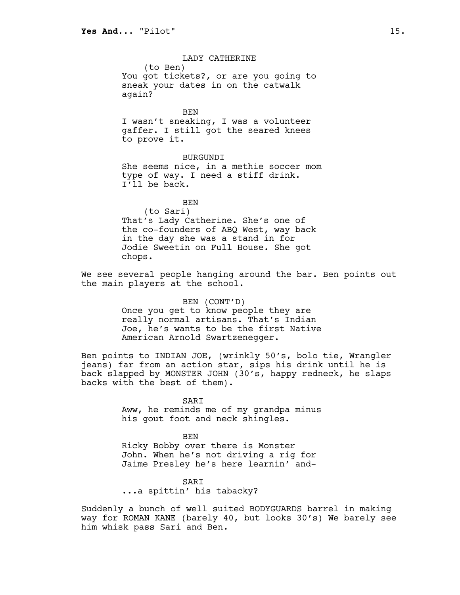LADY CATHERINE (to Ben) You got tickets?, or are you going to sneak your dates in on the catwalk again? BEN I wasn't sneaking, I was a volunteer gaffer. I still got the seared knees to prove it.

BURGUNDI She seems nice, in a methie soccer mom type of way. I need a stiff drink. I'll be back.

BEN (to Sari) That's Lady Catherine. She's one of the co-founders of ABQ West, way back in the day she was a stand in for Jodie Sweetin on Full House. She got chops.

We see several people hanging around the bar. Ben points out the main players at the school.

> BEN (CONT'D) Once you get to know people they are really normal artisans. That's Indian Joe, he's wants to be the first Native American Arnold Swartzenegger.

Ben points to INDIAN JOE, (wrinkly 50's, bolo tie, Wrangler jeans) far from an action star, sips his drink until he is back slapped by MONSTER JOHN (30's, happy redneck, he slaps backs with the best of them).

> SARI Aww, he reminds me of my grandpa minus his gout foot and neck shingles.

BEN Ricky Bobby over there is Monster John. When he's not driving a rig for Jaime Presley he's here learnin' and-

SARI ...a spittin' his tabacky?

Suddenly a bunch of well suited BODYGUARDS barrel in making way for ROMAN KANE (barely 40, but looks 30's) We barely see him whisk pass Sari and Ben.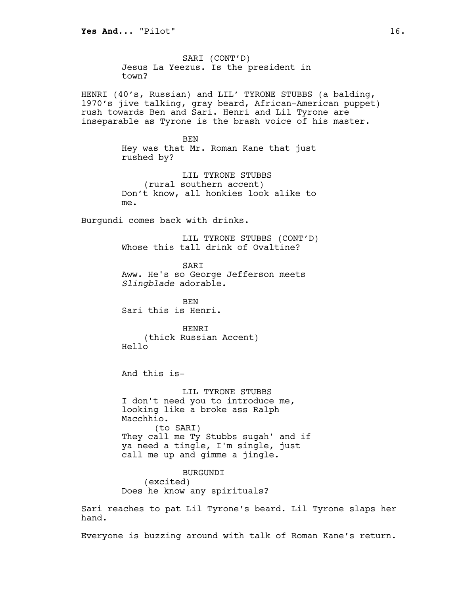SARI (CONT'D) Jesus La Yeezus. Is the president in town?

HENRI (40's, Russian) and LIL' TYRONE STUBBS (a balding, 1970's jive talking, gray beard, African-American puppet) rush towards Ben and Sari. Henri and Lil Tyrone are inseparable as Tyrone is the brash voice of his master.

> BEN Hey was that Mr. Roman Kane that just rushed by?

> LIL TYRONE STUBBS (rural southern accent) Don't know, all honkies look alike to me.

Burgundi comes back with drinks.

LIL TYRONE STUBBS (CONT'D) Whose this tall drink of Ovaltine?

SARI Aww. He's so George Jefferson meets *Slingblade* adorable.

BEN Sari this is Henri.

**HENRT** (thick Russian Accent) Hello

And this is-

LIL TYRONE STUBBS I don't need you to introduce me, looking like a broke ass Ralph Macchhio. (to SARI) They call me Ty Stubbs sugah' and if ya need a tingle, I'm single, just call me up and gimme a jingle.

BURGUNDI (excited) Does he know any spirituals?

Sari reaches to pat Lil Tyrone's beard. Lil Tyrone slaps her hand.

Everyone is buzzing around with talk of Roman Kane's return.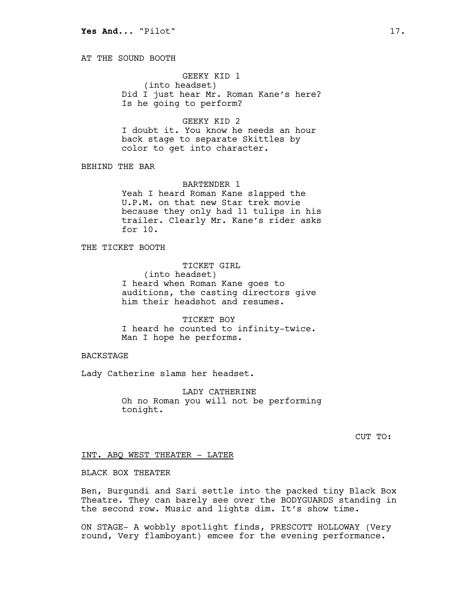AT THE SOUND BOOTH

# GEEKY KID 1

(into headset) Did I just hear Mr. Roman Kane's here? Is he going to perform?

#### GEEKY KID 2

I doubt it. You know he needs an hour back stage to separate Skittles by color to get into character.

BEHIND THE BAR

#### BARTENDER 1

Yeah I heard Roman Kane slapped the U.P.M. on that new Star trek movie because they only had 11 tulips in his trailer. Clearly Mr. Kane's rider asks for 10.

THE TICKET BOOTH

TICKET GIRL (into headset) I heard when Roman Kane goes to auditions, the casting directors give him their headshot and resumes.

TICKET BOY I heard he counted to infinity-twice. Man I hope he performs.

# **BACKSTAGE**

Lady Catherine slams her headset.

LADY CATHERINE Oh no Roman you will not be performing tonight.

CUT TO:

# INT. ABQ WEST THEATER - LATER

# BLACK BOX THEATER

Ben, Burgundi and Sari settle into the packed tiny Black Box Theatre. They can barely see over the BODYGUARDS standing in the second row. Music and lights dim. It's show time.

ON STAGE- A wobbly spotlight finds, PRESCOTT HOLLOWAY (Very round, Very flamboyant) emcee for the evening performance.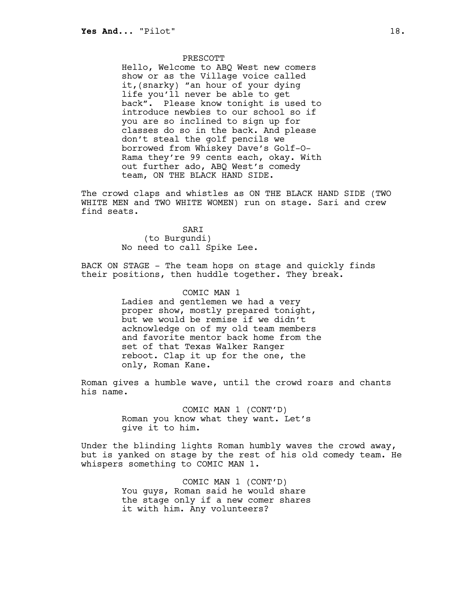## PRESCOTT

Hello, Welcome to ABQ West new comers show or as the Village voice called it,(snarky) "an hour of your dying life you'll never be able to get back". Please know tonight is used to introduce newbies to our school so if you are so inclined to sign up for classes do so in the back. And please don't steal the golf pencils we borrowed from Whiskey Dave's Golf-O-Rama they're 99 cents each, okay. With out further ado, ABQ West's comedy team, ON THE BLACK HAND SIDE.

The crowd claps and whistles as ON THE BLACK HAND SIDE (TWO WHITE MEN and TWO WHITE WOMEN) run on stage. Sari and crew find seats.

> SARI (to Burgundi) No need to call Spike Lee.

BACK ON STAGE - The team hops on stage and quickly finds their positions, then huddle together. They break.

> COMIC MAN 1 Ladies and gentlemen we had a very proper show, mostly prepared tonight, but we would be remise if we didn't acknowledge on of my old team members and favorite mentor back home from the set of that Texas Walker Ranger reboot. Clap it up for the one, the only, Roman Kane.

Roman gives a humble wave, until the crowd roars and chants his name.

> COMIC MAN 1 (CONT'D) Roman you know what they want. Let's give it to him.

Under the blinding lights Roman humbly waves the crowd away, but is yanked on stage by the rest of his old comedy team. He whispers something to COMIC MAN 1.

> COMIC MAN 1 (CONT'D) You guys, Roman said he would share the stage only if a new comer shares it with him. Any volunteers?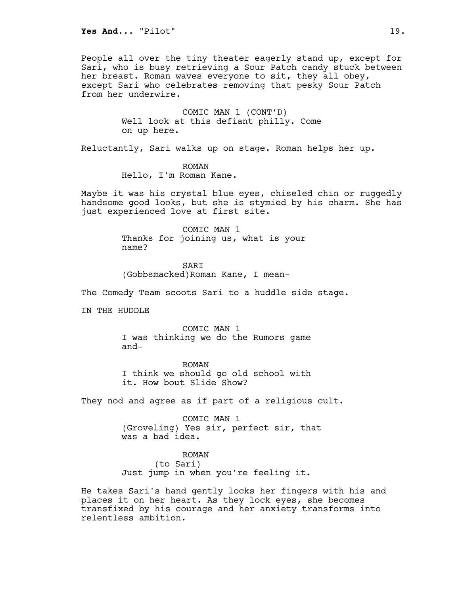People all over the tiny theater eagerly stand up, except for Sari, who is busy retrieving a Sour Patch candy stuck between her breast. Roman waves everyone to sit, they all obey, except Sari who celebrates removing that pesky Sour Patch from her underwire.

> COMIC MAN 1 (CONT'D) Well look at this defiant philly. Come on up here.

Reluctantly, Sari walks up on stage. Roman helps her up.

ROMAN Hello, I'm Roman Kane.

Maybe it was his crystal blue eyes, chiseled chin or ruggedly handsome good looks, but she is stymied by his charm. She has just experienced love at first site.

> COMIC MAN 1 Thanks for joining us, what is your name?

SARI (Gobbsmacked)Roman Kane, I mean-

The Comedy Team scoots Sari to a huddle side stage.

IN THE HUDDLE

COMIC MAN 1 I was thinking we do the Rumors game and-

ROMAN I think we should go old school with it. How bout Slide Show?

They nod and agree as if part of a religious cult.

COMIC MAN 1 (Groveling) Yes sir, perfect sir, that was a bad idea.

ROMAN (to Sari) Just jump in when you're feeling it.

He takes Sari's hand gently locks her fingers with his and places it on her heart. As they lock eyes, she becomes transfixed by his courage and her anxiety transforms into relentless ambition.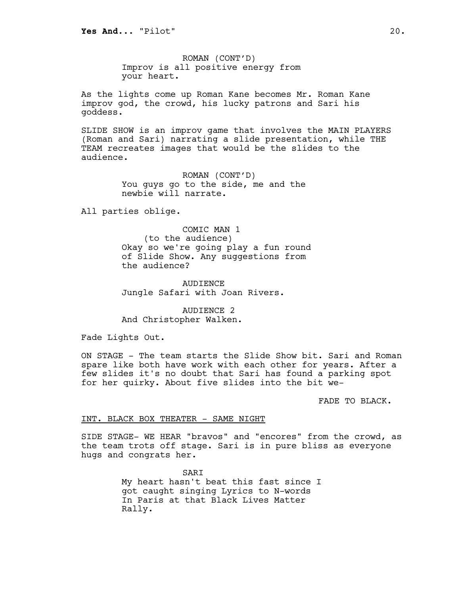ROMAN (CONT'D) Improv is all positive energy from your heart.

As the lights come up Roman Kane becomes Mr. Roman Kane improv god, the crowd, his lucky patrons and Sari his goddess.

SLIDE SHOW is an improv game that involves the MAIN PLAYERS (Roman and Sari) narrating a slide presentation, while THE TEAM recreates images that would be the slides to the audience.

> ROMAN (CONT'D) You guys go to the side, me and the newbie will narrate.

All parties oblige.

COMIC MAN 1 (to the audience) Okay so we're going play a fun round of Slide Show. Any suggestions from the audience?

AUDIENCE Jungle Safari with Joan Rivers.

AUDIENCE 2 And Christopher Walken.

Fade Lights Out.

ON STAGE - The team starts the Slide Show bit. Sari and Roman spare like both have work with each other for years. After a few slides it's no doubt that Sari has found a parking spot for her quirky. About five slides into the bit we-

FADE TO BLACK.

# INT. BLACK BOX THEATER - SAME NIGHT

SIDE STAGE- WE HEAR "bravos" and "encores" from the crowd, as the team trots off stage. Sari is in pure bliss as everyone hugs and congrats her.

> SARI My heart hasn't beat this fast since I got caught singing Lyrics to N-words In Paris at that Black Lives Matter Rally.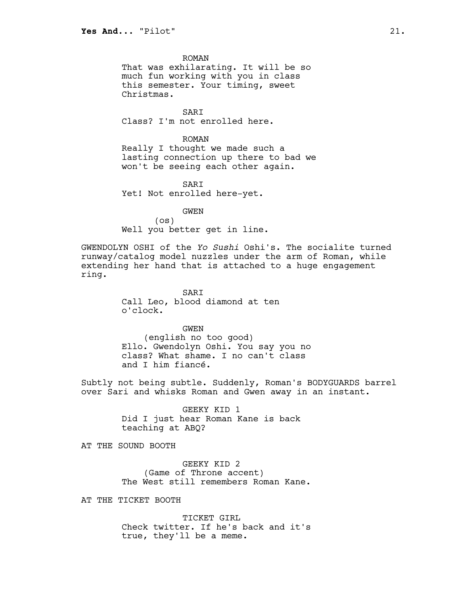ROMAN That was exhilarating. It will be so much fun working with you in class this semester. Your timing, sweet Christmas.

SARI Class? I'm not enrolled here.

ROMAN Really I thought we made such a lasting connection up there to bad we won't be seeing each other again.

SARI Yet! Not enrolled here-yet.

GWEN (os) Well you better get in line.

GWENDOLYN OSHI of the *Yo Sushi* Oshi's. The socialite turned runway/catalog model nuzzles under the arm of Roman, while extending her hand that is attached to a huge engagement ring.

> **SART** Call Leo, blood diamond at ten o'clock.

GWEN (english no too good) Ello. Gwendolyn Oshi. You say you no class? What shame. I no can't class and I him fiancé.

Subtly not being subtle. Suddenly, Roman's BODYGUARDS barrel over Sari and whisks Roman and Gwen away in an instant.

> GEEKY KID 1 Did I just hear Roman Kane is back teaching at ABQ?

AT THE SOUND BOOTH

GEEKY KID 2 (Game of Throne accent) The West still remembers Roman Kane.

AT THE TICKET BOOTH

TICKET GIRL Check twitter. If he's back and it's true, they'll be a meme.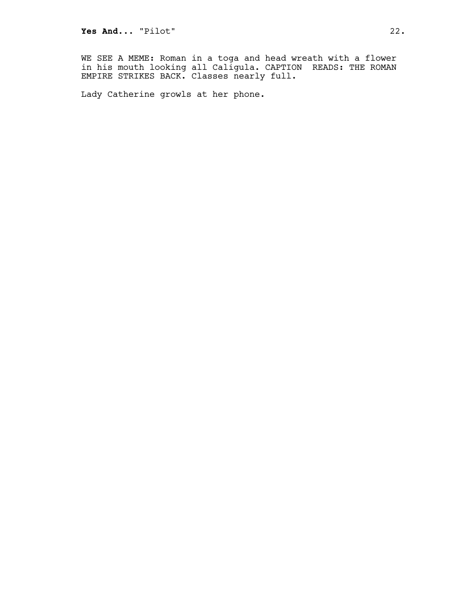WE SEE A MEME: Roman in a toga and head wreath with a flower in his mouth looking all Caligula. CAPTION READS: THE ROMAN EMPIRE STRIKES BACK. Classes nearly full.

Lady Catherine growls at her phone.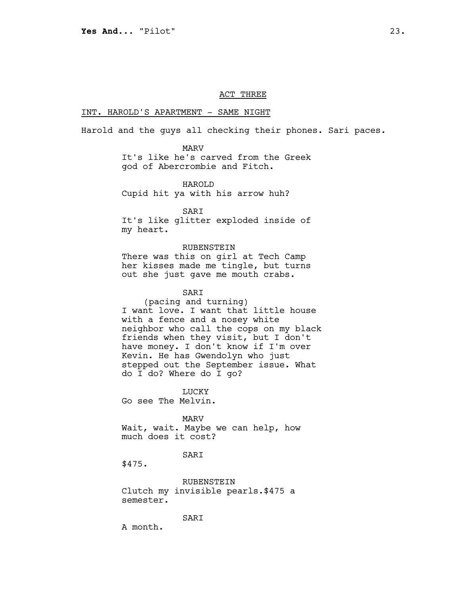# ACT THREE

#### INT. HAROLD'S APARTMENT - SAME NIGHT

Harold and the guys all checking their phones. Sari paces.

MARV

It's like he's carved from the Greek god of Abercrombie and Fitch.

HAROLD Cupid hit ya with his arrow huh?

SARI It's like glitter exploded inside of

my heart.

# RUBENSTEIN

There was this on girl at Tech Camp her kisses made me tingle, but turns out she just gave me mouth crabs.

# SARI

(pacing and turning) I want love. I want that little house with a fence and a nosey white neighbor who call the cops on my black friends when they visit, but I don't have money. I don't know if I'm over Kevin. He has Gwendolyn who just stepped out the September issue. What do I do? Where do I go?

LUCKY

Go see The Melvin.

MARV

Wait, wait. Maybe we can help, how much does it cost?

SARI

\$475.

RUBENSTEIN Clutch my invisible pearls.\$475 a semester.

SARI

A month.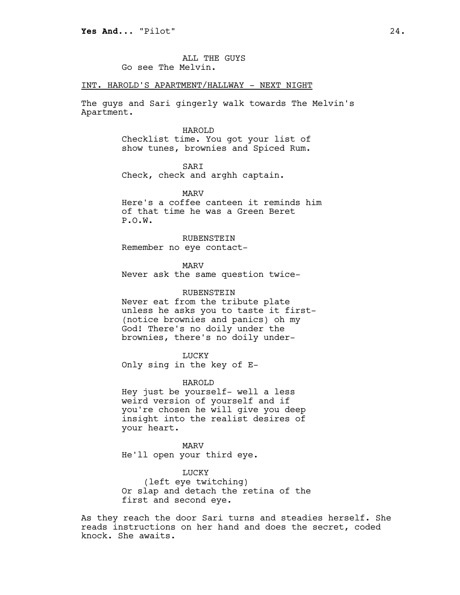ALL THE GUYS Go see The Melvin.

#### INT. HAROLD'S APARTMENT/HALLWAY - NEXT NIGHT

The guys and Sari gingerly walk towards The Melvin's Apartment.

## HAROLD

Checklist time. You got your list of show tunes, brownies and Spiced Rum.

SARI

Check, check and arghh captain.

MARV Here's a coffee canteen it reminds him of that time he was a Green Beret P.O.W.

RUBENSTEIN Remember no eye contact-

MARV Never ask the same question twice-

## RUBENSTEIN

Never eat from the tribute plate unless he asks you to taste it first- (notice brownies and panics) oh my God! There's no doily under the brownies, there's no doily under-

LUCKY

Only sing in the key of E-

HAROLD

Hey just be yourself- well a less weird version of yourself and if you're chosen he will give you deep insight into the realist desires of your heart.

MARV He'll open your third eye.

LUCKY

(left eye twitching) Or slap and detach the retina of the first and second eye.

As they reach the door Sari turns and steadies herself. She reads instructions on her hand and does the secret, coded knock. She awaits.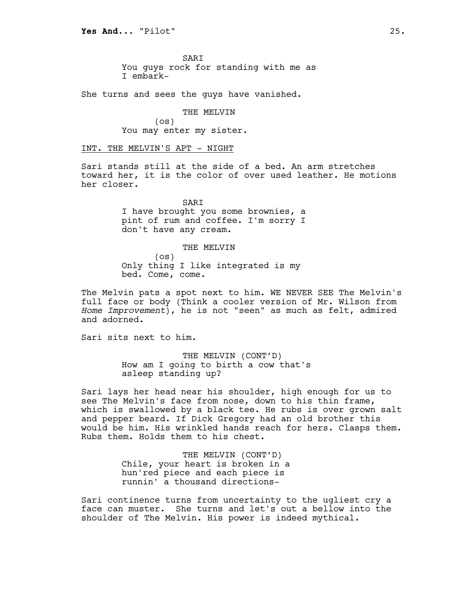**SART** You guys rock for standing with me as I embark-

She turns and sees the guys have vanished.

THE MELVIN (os) You may enter my sister.

INT. THE MELVIN'S APT - NIGHT

Sari stands still at the side of a bed. An arm stretches toward her, it is the color of over used leather. He motions her closer.

> SARI I have brought you some brownies, a pint of rum and coffee. I'm sorry I don't have any cream.

#### THE MELVIN

(os) Only thing I like integrated is my bed. Come, come.

The Melvin pats a spot next to him. WE NEVER SEE The Melvin's full face or body (Think a cooler version of Mr. Wilson from *Home Improvement*), he is not "seen" as much as felt, admired and adorned.

Sari sits next to him.

THE MELVIN (CONT'D) How am I going to birth a cow that's asleep standing up?

Sari lays her head near his shoulder, high enough for us to see The Melvin's face from nose, down to his thin frame, which is swallowed by a black tee. He rubs is over grown salt and pepper beard. If Dick Gregory had an old brother this would be him. His wrinkled hands reach for hers. Clasps them. Rubs them. Holds them to his chest.

> THE MELVIN (CONT'D) Chile, your heart is broken in a hun'red piece and each piece is runnin' a thousand directions-

Sari continence turns from uncertainty to the ugliest cry a face can muster. She turns and let's out a bellow into the shoulder of The Melvin. His power is indeed mythical.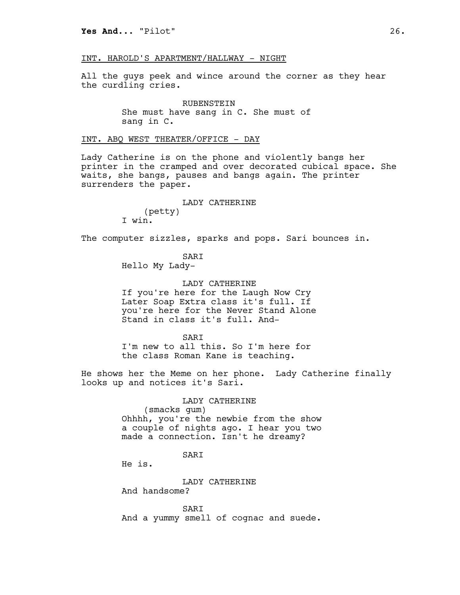# INT. HAROLD'S APARTMENT/HALLWAY - NIGHT

All the guys peek and wince around the corner as they hear the curdling cries.

> RUBENSTEIN She must have sang in C. She must of sang in C.

# INT. ABQ WEST THEATER/OFFICE - DAY

Lady Catherine is on the phone and violently bangs her printer in the cramped and over decorated cubical space. She waits, she bangs, pauses and bangs again. The printer surrenders the paper.

> LADY CATHERINE (petty)

The computer sizzles, sparks and pops. Sari bounces in.

SARI Hello My Lady-

I win.

LADY CATHERINE If you're here for the Laugh Now Cry Later Soap Extra class it's full. If you're here for the Never Stand Alone Stand in class it's full. And-

**SART** I'm new to all this. So I'm here for the class Roman Kane is teaching.

He shows her the Meme on her phone. Lady Catherine finally looks up and notices it's Sari.

> LADY CATHERINE (smacks gum) Ohhhh, you're the newbie from the show a couple of nights ago. I hear you two made a connection. Isn't he dreamy?

# SARI

He is.

LADY CATHERINE

And handsome?

SARI And a yummy smell of cognac and suede.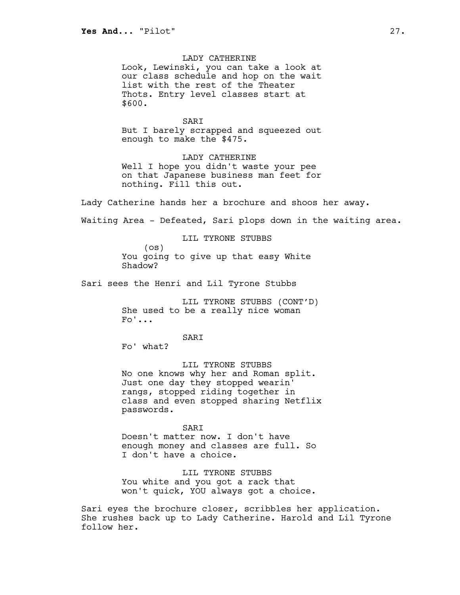LADY CATHERINE Look, Lewinski, you can take a look at our class schedule and hop on the wait list with the rest of the Theater Thots. Entry level classes start at \$600.

SARI But I barely scrapped and squeezed out enough to make the \$475.

LADY CATHERINE Well I hope you didn't waste your pee on that Japanese business man feet for nothing. Fill this out.

Lady Catherine hands her a brochure and shoos her away.

Waiting Area - Defeated, Sari plops down in the waiting area.

LIL TYRONE STUBBS

(os) You going to give up that easy White Shadow?

Sari sees the Henri and Lil Tyrone Stubbs

LIL TYRONE STUBBS (CONT'D) She used to be a really nice woman  $F \circ ' \ldots$ 

SARI

Fo' what?

LIL TYRONE STUBBS No one knows why her and Roman split. Just one day they stopped wearin' rangs, stopped riding together in class and even stopped sharing Netflix passwords.

**SART** 

Doesn't matter now. I don't have enough money and classes are full. So I don't have a choice.

LIL TYRONE STUBBS You white and you got a rack that won't quick, YOU always got a choice.

Sari eyes the brochure closer, scribbles her application. She rushes back up to Lady Catherine. Harold and Lil Tyrone follow her.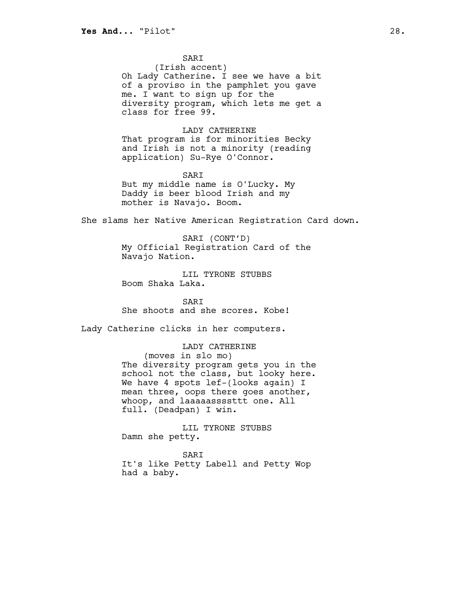SARI

(Irish accent) Oh Lady Catherine. I see we have a bit of a proviso in the pamphlet you gave me. I want to sign up for the diversity program, which lets me get a class for free 99.

LADY CATHERINE

That program is for minorities Becky and Irish is not a minority (reading application) Su-Rye O'Connor.

SARI But my middle name is O'Lucky. My Daddy is beer blood Irish and my mother is Navajo. Boom.

She slams her Native American Registration Card down.

SARI (CONT'D) My Official Registration Card of the Navajo Nation.

LIL TYRONE STUBBS Boom Shaka Laka.

SARI She shoots and she scores. Kobe!

Lady Catherine clicks in her computers.

# LADY CATHERINE

(moves in slo mo) The diversity program gets you in the school not the class, but looky here. We have 4 spots lef-(looks again) I mean three, oops there goes another, whoop, and laaaaassssttt one. All full. (Deadpan) I win.

LIL TYRONE STUBBS Damn she petty.

SARI

It's like Petty Labell and Petty Wop had a baby.